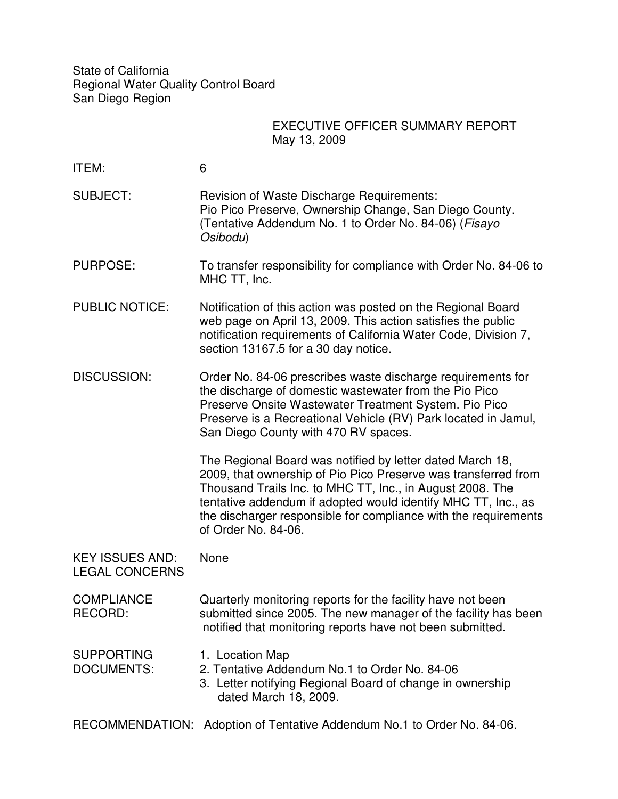State of California Regional Water Quality Control Board San Diego Region

## EXECUTIVE OFFICER SUMMARY REPORT May 13, 2009

| ITEM:                                           | 6                                                                                                                                                                                                                                                                                                                                                   |
|-------------------------------------------------|-----------------------------------------------------------------------------------------------------------------------------------------------------------------------------------------------------------------------------------------------------------------------------------------------------------------------------------------------------|
| <b>SUBJECT:</b>                                 | <b>Revision of Waste Discharge Requirements:</b><br>Pio Pico Preserve, Ownership Change, San Diego County.<br>(Tentative Addendum No. 1 to Order No. 84-06) (Fisayo<br>Osibodu)                                                                                                                                                                     |
| <b>PURPOSE:</b>                                 | To transfer responsibility for compliance with Order No. 84-06 to<br>MHC TT, Inc.                                                                                                                                                                                                                                                                   |
| <b>PUBLIC NOTICE:</b>                           | Notification of this action was posted on the Regional Board<br>web page on April 13, 2009. This action satisfies the public<br>notification requirements of California Water Code, Division 7,<br>section 13167.5 for a 30 day notice.                                                                                                             |
| <b>DISCUSSION:</b>                              | Order No. 84-06 prescribes waste discharge requirements for<br>the discharge of domestic wastewater from the Pio Pico<br>Preserve Onsite Wastewater Treatment System. Pio Pico<br>Preserve is a Recreational Vehicle (RV) Park located in Jamul,<br>San Diego County with 470 RV spaces.                                                            |
|                                                 | The Regional Board was notified by letter dated March 18,<br>2009, that ownership of Pio Pico Preserve was transferred from<br>Thousand Trails Inc. to MHC TT, Inc., in August 2008. The<br>tentative addendum if adopted would identify MHC TT, Inc., as<br>the discharger responsible for compliance with the requirements<br>of Order No. 84-06. |
| <b>KEY ISSUES AND:</b><br><b>LEGAL CONCERNS</b> | None                                                                                                                                                                                                                                                                                                                                                |
| <b>COMPLIANCE</b><br>RECORD:                    | Quarterly monitoring reports for the facility have not been<br>submitted since 2005. The new manager of the facility has been<br>notified that monitoring reports have not been submitted.                                                                                                                                                          |
| <b>SUPPORTING</b><br><b>DOCUMENTS:</b>          | 1. Location Map<br>2. Tentative Addendum No.1 to Order No. 84-06<br>3. Letter notifying Regional Board of change in ownership<br>dated March 18, 2009.                                                                                                                                                                                              |

RECOMMENDATION: Adoption of Tentative Addendum No.1 to Order No. 84-06.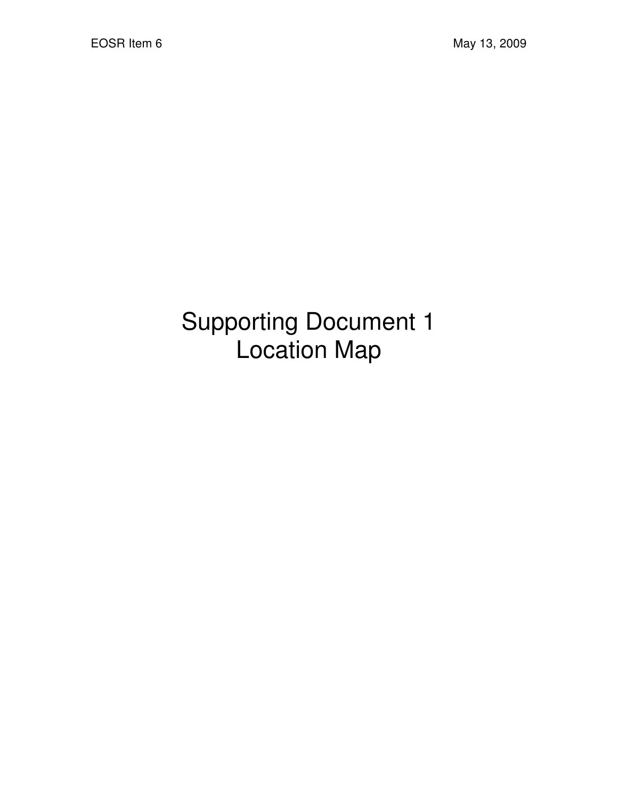## Supporting Document 1 Location Map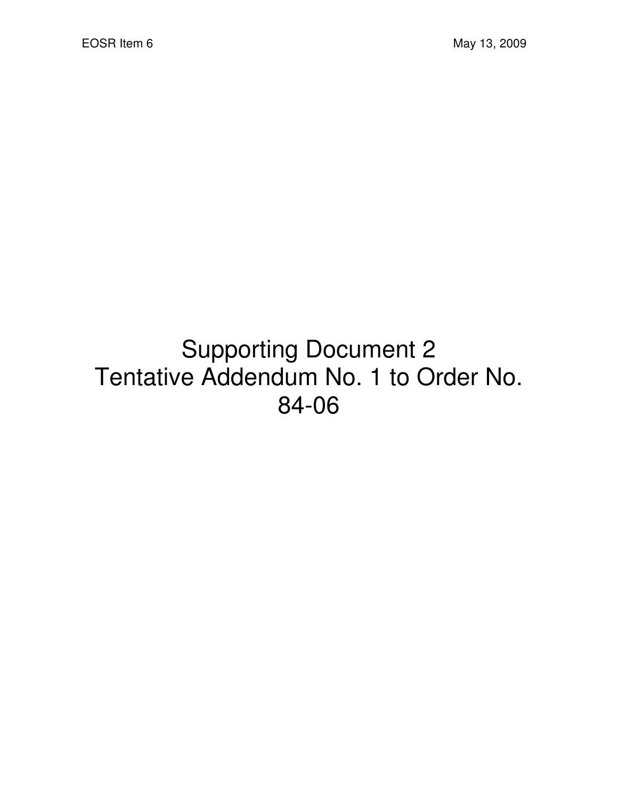## Supporting Document 2 Tentative Addendum No. 1 to Order No. 84-06